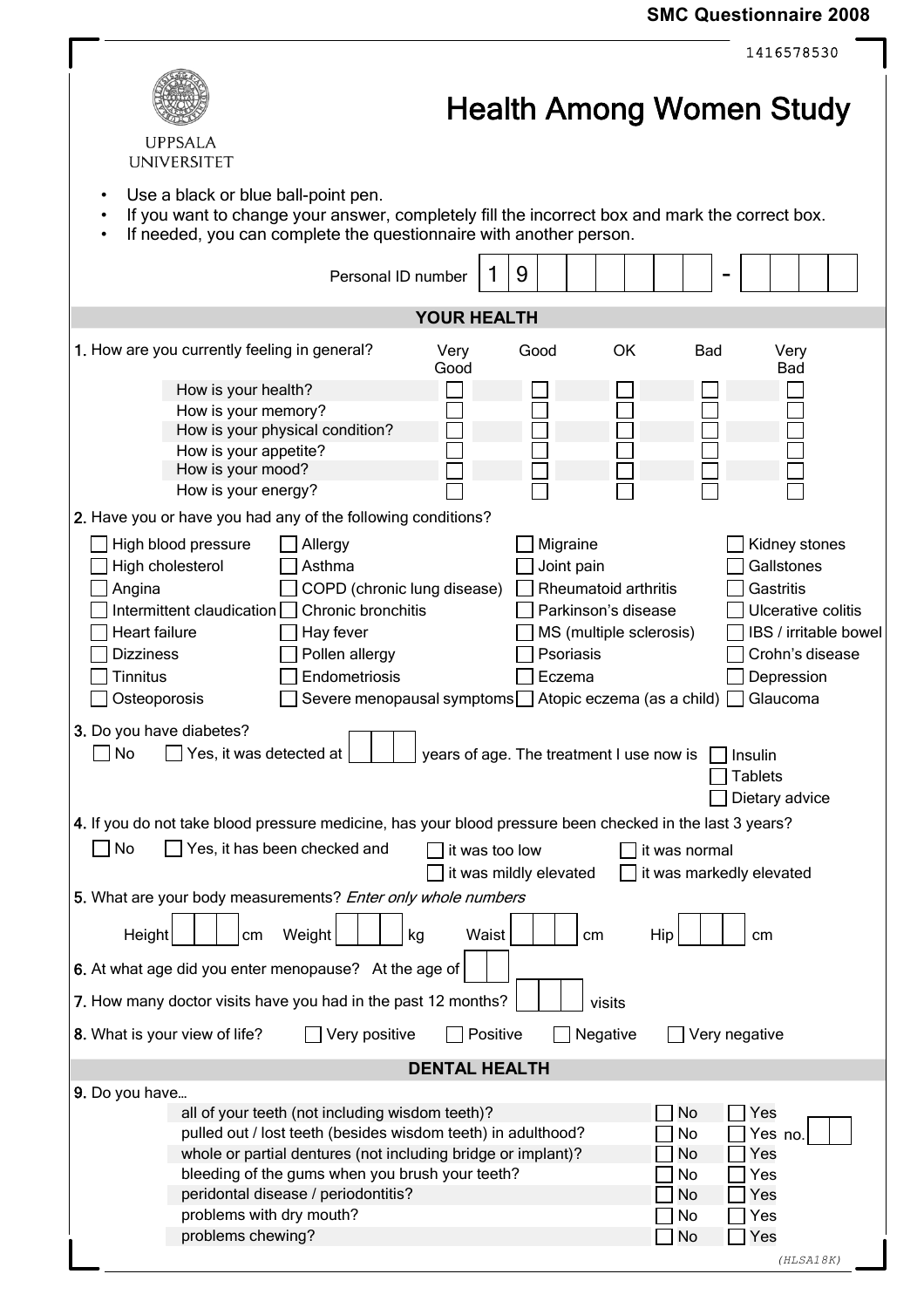## **SMC Questionnaire 2008**

|                                                                                                                                                                                                                                                                                                                                                                                          | 1416578530                                                                                                                                                                                                                                                                                    |  |  |  |  |  |
|------------------------------------------------------------------------------------------------------------------------------------------------------------------------------------------------------------------------------------------------------------------------------------------------------------------------------------------------------------------------------------------|-----------------------------------------------------------------------------------------------------------------------------------------------------------------------------------------------------------------------------------------------------------------------------------------------|--|--|--|--|--|
|                                                                                                                                                                                                                                                                                                                                                                                          | <b>Health Among Women Study</b>                                                                                                                                                                                                                                                               |  |  |  |  |  |
| <b>UPPSALA</b><br><b>UNIVERSITET</b>                                                                                                                                                                                                                                                                                                                                                     |                                                                                                                                                                                                                                                                                               |  |  |  |  |  |
| Use a black or blue ball-point pen.<br>$\bullet$<br>If you want to change your answer, completely fill the incorrect box and mark the correct box.<br>If needed, you can complete the questionnaire with another person.                                                                                                                                                                 |                                                                                                                                                                                                                                                                                               |  |  |  |  |  |
| 9<br>1<br>Personal ID number                                                                                                                                                                                                                                                                                                                                                             |                                                                                                                                                                                                                                                                                               |  |  |  |  |  |
| <b>YOUR HEALTH</b>                                                                                                                                                                                                                                                                                                                                                                       |                                                                                                                                                                                                                                                                                               |  |  |  |  |  |
| 1. How are you currently feeling in general?<br>Very<br>Good                                                                                                                                                                                                                                                                                                                             | OK<br><b>Bad</b><br>Very<br>Good<br>Bad                                                                                                                                                                                                                                                       |  |  |  |  |  |
| How is your health?<br>How is your memory?<br>How is your physical condition?<br>How is your appetite?<br>How is your mood?<br>How is your energy?                                                                                                                                                                                                                                       |                                                                                                                                                                                                                                                                                               |  |  |  |  |  |
| 2. Have you or have you had any of the following conditions?<br>High blood pressure<br>Allergy<br>High cholesterol<br>Asthma<br>COPD (chronic lung disease)<br>Angina<br>Intermittent claudication $\square$<br>Chronic bronchitis<br>Heart failure<br>Hay fever<br><b>Dizziness</b><br>Pollen allergy<br>Endometriosis<br><b>Tinnitus</b><br>Osteoporosis<br>Severe menopausal symptoms | Migraine<br>Kidney stones<br>Joint pain<br>Gallstones<br>Rheumatoid arthritis<br>Gastritis<br>Parkinson's disease<br>Ulcerative colitis<br>MS (multiple sclerosis)<br>IBS / irritable bowel<br>Psoriasis<br>Crohn's disease<br>Eczema<br>Depression<br>Glaucoma<br>Atopic eczema (as a child) |  |  |  |  |  |
| 3. Do you have diabetes?<br>No<br>Yes, it was detected at                                                                                                                                                                                                                                                                                                                                | years of age. The treatment I use now is<br>Insulin<br><b>Tablets</b><br>Dietary advice                                                                                                                                                                                                       |  |  |  |  |  |
| 4. If you do not take blood pressure medicine, has your blood pressure been checked in the last 3 years?<br>No<br>Yes, it has been checked and<br>it was too low                                                                                                                                                                                                                         | it was normal                                                                                                                                                                                                                                                                                 |  |  |  |  |  |
| it was mildly elevated                                                                                                                                                                                                                                                                                                                                                                   | it was markedly elevated                                                                                                                                                                                                                                                                      |  |  |  |  |  |
| 5. What are your body measurements? Enter only whole numbers                                                                                                                                                                                                                                                                                                                             |                                                                                                                                                                                                                                                                                               |  |  |  |  |  |
| Waist<br>Height<br>Weight<br>kg<br>cm                                                                                                                                                                                                                                                                                                                                                    | Hip<br>сm<br>cm                                                                                                                                                                                                                                                                               |  |  |  |  |  |
| 6. At what age did you enter menopause? At the age of                                                                                                                                                                                                                                                                                                                                    |                                                                                                                                                                                                                                                                                               |  |  |  |  |  |
| 7. How many doctor visits have you had in the past 12 months?                                                                                                                                                                                                                                                                                                                            | visits                                                                                                                                                                                                                                                                                        |  |  |  |  |  |
| 8. What is your view of life?<br>Very positive<br>Positive                                                                                                                                                                                                                                                                                                                               | Negative<br>Very negative                                                                                                                                                                                                                                                                     |  |  |  |  |  |
| <b>DENTAL HEALTH</b>                                                                                                                                                                                                                                                                                                                                                                     |                                                                                                                                                                                                                                                                                               |  |  |  |  |  |
| 9. Do you have<br>all of your teeth (not including wisdom teeth)?<br>pulled out / lost teeth (besides wisdom teeth) in adulthood?<br>whole or partial dentures (not including bridge or implant)?<br>bleeding of the gums when you brush your teeth?<br>peridontal disease / periodontitis?<br>problems with dry mouth?<br>problems chewing?                                             | No<br>Yes<br>No<br>Yes no<br>Yes<br>No<br>No<br>Yes<br>No<br>Yes<br>No<br>Yes<br>No<br>Yes                                                                                                                                                                                                    |  |  |  |  |  |
|                                                                                                                                                                                                                                                                                                                                                                                          | (HLSA18K)                                                                                                                                                                                                                                                                                     |  |  |  |  |  |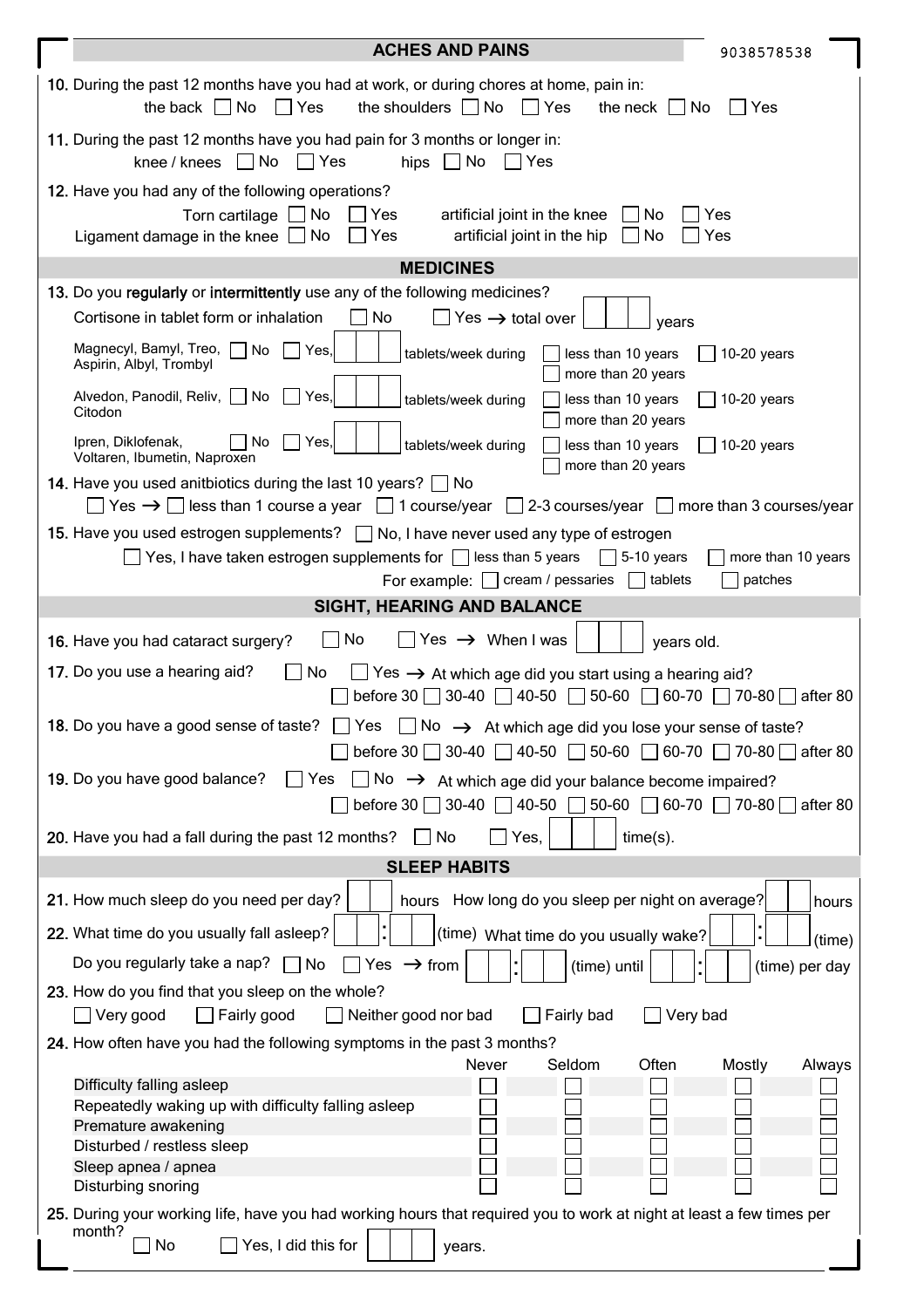| <b>ACHES AND PAINS</b><br>9038578538                                                                                                                                                                                                                                         |        |  |  |  |  |
|------------------------------------------------------------------------------------------------------------------------------------------------------------------------------------------------------------------------------------------------------------------------------|--------|--|--|--|--|
| 10. During the past 12 months have you had at work, or during chores at home, pain in:<br>the back $\Box$ No<br>$\Box$ Yes<br>the shoulders $\Box$ No<br>$\Box$ Yes<br>the neck<br>  No<br>Yes                                                                               |        |  |  |  |  |
| 11. During the past 12 months have you had pain for 3 months or longer in:<br>knee / knees $\Box$ No $\Box$ Yes<br>hips<br>  No<br>Yes                                                                                                                                       |        |  |  |  |  |
| 12. Have you had any of the following operations?<br>Torn cartilage $\Box$ No<br>$\Box$ Yes<br>artificial joint in the knee<br>No<br>Yes<br>Ligament damage in the knee $\Box$ No<br>artificial joint in the hip<br>No<br>$\Box$ Yes<br>Yes                                  |        |  |  |  |  |
| <b>MEDICINES</b>                                                                                                                                                                                                                                                             |        |  |  |  |  |
| 13. Do you regularly or intermittently use any of the following medicines?                                                                                                                                                                                                   |        |  |  |  |  |
| No<br>Cortisone in tablet form or inhalation<br>Yes $\rightarrow$ total over<br>years                                                                                                                                                                                        |        |  |  |  |  |
| Magnecyl, Bamyl, Treo, No<br>Yes,<br>tablets/week during<br>less than 10 years<br>$10-20$ years<br>Aspirin, Albyl, Trombyl<br>more than 20 years                                                                                                                             |        |  |  |  |  |
| Alvedon, Panodil, Reliv,  <br>No<br>Yes,<br>less than 10 years<br>tablets/week during<br>$10-20$ years<br>Citodon<br>more than 20 years                                                                                                                                      |        |  |  |  |  |
| Ipren, Diklofenak,<br>No<br>Yes,<br>$10-20$ years<br>tablets/week during<br>less than 10 years<br>Voltaren, Ibumetin, Naproxen<br>more than 20 years                                                                                                                         |        |  |  |  |  |
| 14. Have you used anitbiotics during the last 10 years? $\Box$ No<br>$\Box$ Yes $\rightarrow$ $\Box$ less than 1 course a year $\Box$ 1 course/year $\Box$ 2-3 courses/year $\Box$ more than 3 courses/year                                                                  |        |  |  |  |  |
| 15. Have you used estrogen supplements?   No, I have never used any type of estrogen<br>$\Box$ Yes, I have taken estrogen supplements for $\Box$ less than 5 years<br>$\Box$ 5-10 years<br>more than 10 years<br>For example: $\Box$ cream / pessaries<br>tablets<br>patches |        |  |  |  |  |
| SIGHT, HEARING AND BALANCE                                                                                                                                                                                                                                                   |        |  |  |  |  |
| No<br>Yes $\rightarrow$ When I was<br>16. Have you had cataract surgery?<br>years old.                                                                                                                                                                                       |        |  |  |  |  |
| 17. Do you use a hearing aid?<br>No<br>Yes $\rightarrow$ At which age did you start using a hearing aid?<br>$\blacksquare$<br>before 30 $\Box$ 30-40 $\Box$ 40-50 $\Box$ 50-60 $\Box$ 60-70 $\Box$ 70-80 $\Box$ after 80                                                     |        |  |  |  |  |
| 18. Do you have a good sense of taste?<br>$\Box$ Yes<br>No $\rightarrow$ At which age did you lose your sense of taste?<br>before 30 $\Box$ 30-40 $\Box$ 40-50 $\Box$ 50-60 $\Box$ 60-70 $\Box$ 70-80 $\Box$ after 80                                                        |        |  |  |  |  |
| 19. Do you have good balance?<br>No $\rightarrow$ At which age did your balance become impaired?<br>Yes<br>before 30 $\Box$ 30-40 $\Box$ 40-50 $\Box$ 50-60 $\Box$ 60-70 $\Box$ 70-80 $\Box$ after 80                                                                        |        |  |  |  |  |
| 20. Have you had a fall during the past 12 months?<br>No<br>$time(s)$ .<br>Yes,                                                                                                                                                                                              |        |  |  |  |  |
| <b>SLEEP HABITS</b>                                                                                                                                                                                                                                                          |        |  |  |  |  |
| 21. How much sleep do you need per day?<br>hours How long do you sleep per night on average?                                                                                                                                                                                 | hours  |  |  |  |  |
| $\ddot{\phantom{0}}$<br>22. What time do you usually fall asleep?<br>(time) What time do you usually wake?                                                                                                                                                                   | (time) |  |  |  |  |
| Do you regularly take a nap? $\Box$ No<br>$\Box$ Yes $\rightarrow$ from<br>(time) until<br>(time) per day                                                                                                                                                                    |        |  |  |  |  |
| 23. How do you find that you sleep on the whole?<br>Very good<br>$\Box$ Fairly good<br>Neither good nor bad<br>Fairly bad<br>Very bad                                                                                                                                        |        |  |  |  |  |
| 24. How often have you had the following symptoms in the past 3 months?                                                                                                                                                                                                      |        |  |  |  |  |
| Never<br>Seldom<br>Often<br>Mostly<br>Always<br>Difficulty falling asleep<br>Repeatedly waking up with difficulty falling asleep<br>Premature awakening<br>Disturbed / restless sleep<br>Sleep apnea / apnea<br>Disturbing snoring                                           |        |  |  |  |  |
| 25. During your working life, have you had working hours that required you to work at night at least a few times per<br>month?                                                                                                                                               |        |  |  |  |  |
| Yes, I did this for<br>No<br>years.                                                                                                                                                                                                                                          |        |  |  |  |  |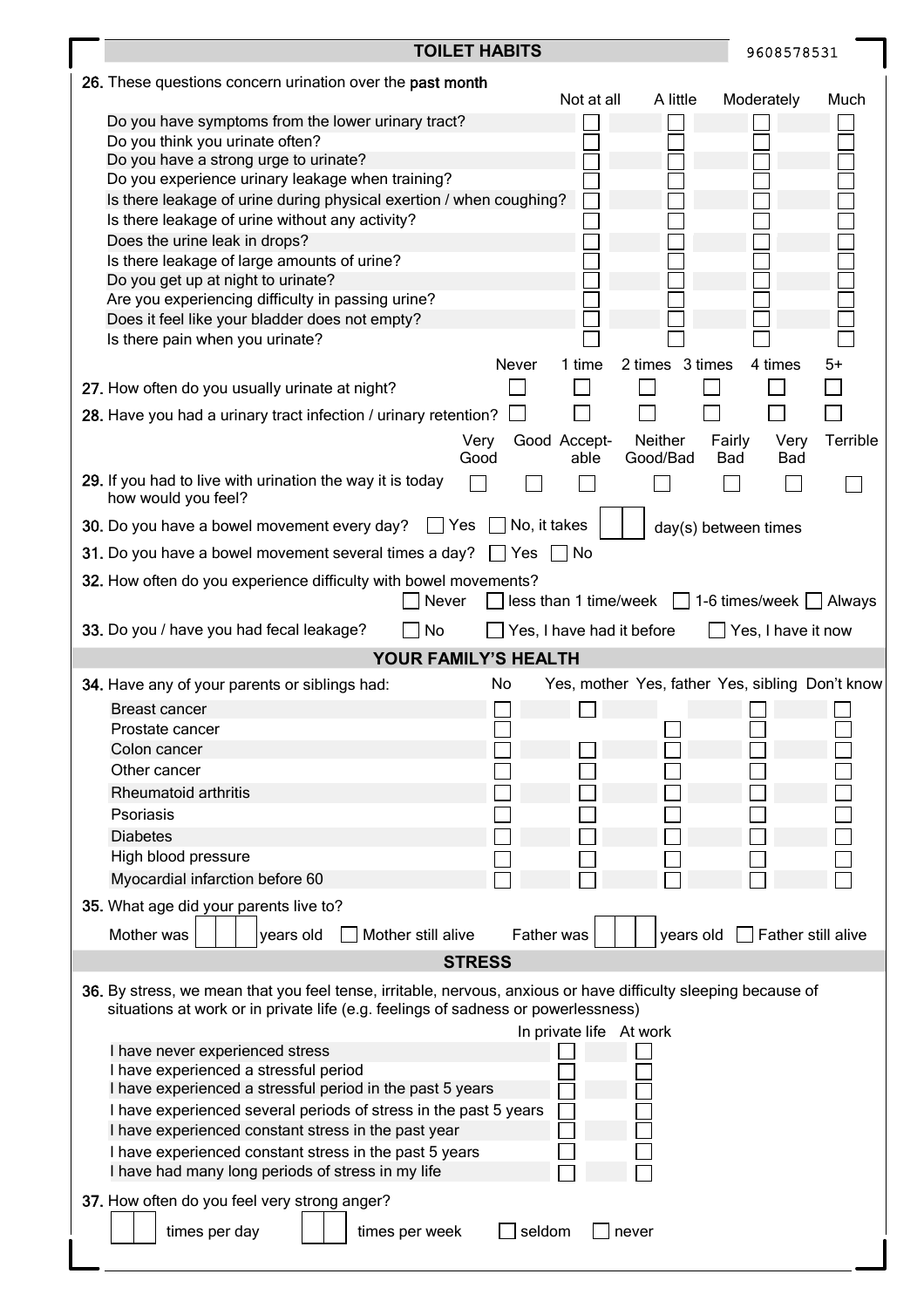|                                                                  | <b>TOILET HABITS</b>                                                                                                                                                                                |                           | 9608578531          |                                                 |          |  |  |
|------------------------------------------------------------------|-----------------------------------------------------------------------------------------------------------------------------------------------------------------------------------------------------|---------------------------|---------------------|-------------------------------------------------|----------|--|--|
|                                                                  | 26. These questions concern urination over the past month                                                                                                                                           |                           |                     |                                                 |          |  |  |
|                                                                  |                                                                                                                                                                                                     | Not at all                | A little            | Moderately                                      | Much     |  |  |
|                                                                  | Do you have symptoms from the lower urinary tract?                                                                                                                                                  |                           |                     |                                                 |          |  |  |
|                                                                  | Do you think you urinate often?<br>Do you have a strong urge to urinate?                                                                                                                            |                           |                     |                                                 |          |  |  |
|                                                                  | Do you experience urinary leakage when training?                                                                                                                                                    |                           |                     |                                                 |          |  |  |
|                                                                  | Is there leakage of urine during physical exertion / when coughing?                                                                                                                                 |                           |                     |                                                 |          |  |  |
|                                                                  | Is there leakage of urine without any activity?                                                                                                                                                     |                           |                     |                                                 |          |  |  |
|                                                                  | Does the urine leak in drops?                                                                                                                                                                       |                           |                     |                                                 |          |  |  |
|                                                                  | Is there leakage of large amounts of urine?                                                                                                                                                         |                           |                     |                                                 |          |  |  |
|                                                                  | Do you get up at night to urinate?                                                                                                                                                                  |                           |                     |                                                 |          |  |  |
|                                                                  | Are you experiencing difficulty in passing urine?<br>Does it feel like your bladder does not empty?                                                                                                 |                           |                     |                                                 |          |  |  |
|                                                                  | Is there pain when you urinate?                                                                                                                                                                     |                           |                     |                                                 |          |  |  |
|                                                                  | Never                                                                                                                                                                                               | 1 time                    | 2 times 3 times     | 4 times                                         | $5+$     |  |  |
|                                                                  | 27. How often do you usually urinate at night?                                                                                                                                                      |                           |                     |                                                 |          |  |  |
|                                                                  | 28. Have you had a urinary tract infection / urinary retention?                                                                                                                                     |                           |                     |                                                 |          |  |  |
|                                                                  |                                                                                                                                                                                                     |                           |                     |                                                 |          |  |  |
|                                                                  | Very<br>Good                                                                                                                                                                                        | Good Accept-<br>able      | Neither<br>Good/Bad | Fairly<br>Very<br>Bad<br><b>Bad</b>             | Terrible |  |  |
|                                                                  | 29. If you had to live with urination the way it is today                                                                                                                                           |                           |                     |                                                 |          |  |  |
|                                                                  | how would you feel?                                                                                                                                                                                 |                           |                     |                                                 |          |  |  |
|                                                                  | <b>30.</b> Do you have a bowel movement every day? Thes<br>No, it takes                                                                                                                             |                           |                     | day(s) between times                            |          |  |  |
|                                                                  | 31. Do you have a bowel movement several times a day?<br>∣ Yes                                                                                                                                      | No                        |                     |                                                 |          |  |  |
|                                                                  | 32. How often do you experience difficulty with bowel movements?                                                                                                                                    |                           |                     |                                                 |          |  |  |
|                                                                  | Never                                                                                                                                                                                               | less than 1 time/week     |                     | 1-6 times/week Always                           |          |  |  |
|                                                                  | 33. Do you / have you had fecal leakage?<br>No                                                                                                                                                      | Yes, I have had it before |                     | Yes, I have it now                              |          |  |  |
|                                                                  | <b>YOUR FAMILY'S HEALTH</b>                                                                                                                                                                         |                           |                     |                                                 |          |  |  |
|                                                                  | 34. Have any of your parents or siblings had:<br>No                                                                                                                                                 |                           |                     | Yes, mother Yes, father Yes, sibling Don't know |          |  |  |
|                                                                  | <b>Breast cancer</b>                                                                                                                                                                                |                           |                     |                                                 |          |  |  |
|                                                                  | Prostate cancer                                                                                                                                                                                     |                           |                     |                                                 |          |  |  |
|                                                                  | Colon cancer                                                                                                                                                                                        |                           |                     |                                                 |          |  |  |
|                                                                  | Other cancer<br>Rheumatoid arthritis                                                                                                                                                                |                           |                     |                                                 |          |  |  |
|                                                                  | Psoriasis                                                                                                                                                                                           |                           |                     |                                                 |          |  |  |
|                                                                  | <b>Diabetes</b>                                                                                                                                                                                     |                           |                     |                                                 |          |  |  |
|                                                                  | High blood pressure                                                                                                                                                                                 |                           |                     |                                                 |          |  |  |
|                                                                  | Myocardial infarction before 60                                                                                                                                                                     |                           |                     |                                                 |          |  |  |
|                                                                  | 35. What age did your parents live to?                                                                                                                                                              |                           |                     |                                                 |          |  |  |
|                                                                  |                                                                                                                                                                                                     |                           |                     |                                                 |          |  |  |
|                                                                  | Mother was<br>Father was<br>years old<br>Mother still alive                                                                                                                                         |                           | years old           | Father still alive                              |          |  |  |
|                                                                  | <b>STRESS</b>                                                                                                                                                                                       |                           |                     |                                                 |          |  |  |
|                                                                  | 36. By stress, we mean that you feel tense, irritable, nervous, anxious or have difficulty sleeping because of<br>situations at work or in private life (e.g. feelings of sadness or powerlessness) |                           |                     |                                                 |          |  |  |
|                                                                  |                                                                                                                                                                                                     |                           |                     |                                                 |          |  |  |
| In private life At work<br>I have never experienced stress       |                                                                                                                                                                                                     |                           |                     |                                                 |          |  |  |
| I have experienced a stressful period                            |                                                                                                                                                                                                     |                           |                     |                                                 |          |  |  |
| I have experienced a stressful period in the past 5 years        |                                                                                                                                                                                                     |                           |                     |                                                 |          |  |  |
| I have experienced several periods of stress in the past 5 years |                                                                                                                                                                                                     |                           |                     |                                                 |          |  |  |
| I have experienced constant stress in the past year              |                                                                                                                                                                                                     |                           |                     |                                                 |          |  |  |
|                                                                  | I have experienced constant stress in the past 5 years<br>I have had many long periods of stress in my life                                                                                         |                           |                     |                                                 |          |  |  |
|                                                                  | 37. How often do you feel very strong anger?                                                                                                                                                        |                           |                     |                                                 |          |  |  |
|                                                                  |                                                                                                                                                                                                     |                           |                     |                                                 |          |  |  |
|                                                                  | times per day<br>times per week<br>seldom                                                                                                                                                           | never                     |                     |                                                 |          |  |  |